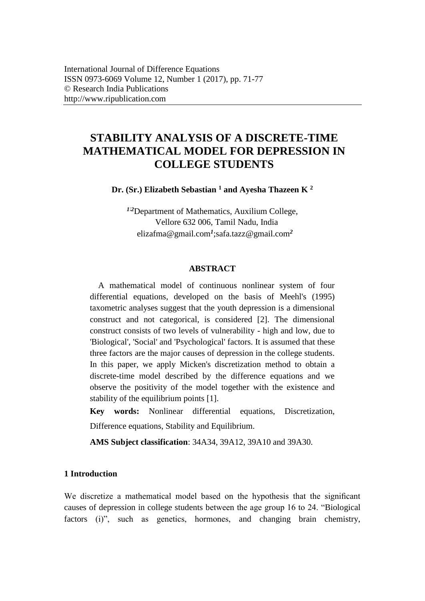# **STABILITY ANALYSIS OF A DISCRETE-TIME MATHEMATICAL MODEL FOR DEPRESSION IN COLLEGE STUDENTS**

**Dr. (Sr.) Elizabeth Sebastian <sup>1</sup> and Ayesha Thazeen K <sup>2</sup>**

*<sup>1</sup>*;*<sup>2</sup>*Department of Mathematics, Auxilium College, Vellore 632 006, Tamil Nadu, India elizafma@gmail.com*<sup>1</sup>* ;safa.tazz@gmail.com*<sup>2</sup>*

### **ABSTRACT**

A mathematical model of continuous nonlinear system of four differential equations, developed on the basis of Meehl's (1995) taxometric analyses suggest that the youth depression is a dimensional construct and not categorical, is considered [2]. The dimensional construct consists of two levels of vulnerability - high and low, due to 'Biological', 'Social' and 'Psychological' factors. It is assumed that these three factors are the major causes of depression in the college students. In this paper, we apply Micken's discretization method to obtain a discrete-time model described by the difference equations and we observe the positivity of the model together with the existence and stability of the equilibrium points [1].

**Key words:** Nonlinear differential equations, Discretization, Difference equations, Stability and Equilibrium.

**AMS Subject classification**: 34A34, 39A12, 39A10 and 39A30.

# **1 Introduction**

We discretize a mathematical model based on the hypothesis that the significant causes of depression in college students between the age group 16 to 24. "Biological factors (i)", such as genetics, hormones, and changing brain chemistry,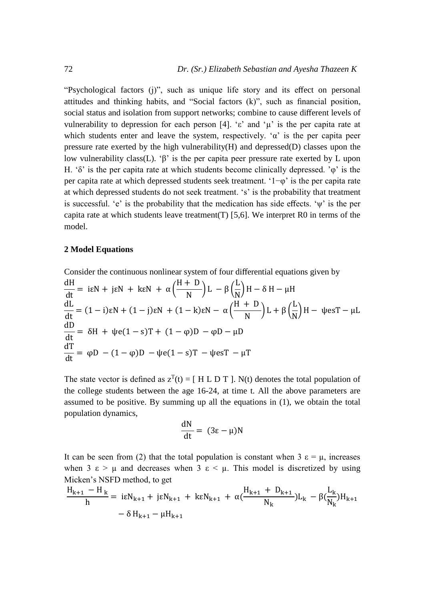"Psychological factors (j)", such as unique life story and its effect on personal attitudes and thinking habits, and "Social factors (k)", such as financial position, social status and isolation from support networks; combine to cause different levels of vulnerability to depression for each person [4]. 'ε' and ' $\mu$ ' is the per capita rate at which students enter and leave the system, respectively. ' $\alpha$ ' is the per capita peer pressure rate exerted by the high vulnerability(H) and depressed(D) classes upon the low vulnerability class(L). 'β' is the per capita peer pressure rate exerted by L upon H. 'δ' is the per capita rate at which students become clinically depressed. 'φ' is the per capita rate at which depressed students seek treatment. '1−φ' is the per capita rate at which depressed students do not seek treatment. 's' is the probability that treatment is successful. 'e' is the probability that the medication has side effects. 'ψ' is the per capita rate at which students leave treatment(T) [5,6]. We interpret R0 in terms of the model.

## **2 Model Equations**

Consider the continuous nonlinear system of four differential equations given by  
\n
$$
\frac{dH}{dt} = i\varepsilon N + j\varepsilon N + k\varepsilon N + \alpha \left(\frac{H+D}{N}\right)L - \beta \left(\frac{L}{N}\right)H - \delta H - \mu H
$$
\n
$$
\frac{dL}{dt} = (1-i)\varepsilon N + (1-j)\varepsilon N + (1-k)\varepsilon N - \alpha \left(\frac{H+D}{N}\right)L + \beta \left(\frac{L}{N}\right)H - \psi \varepsilon T - \mu L
$$
\n
$$
\frac{dD}{dt} = \delta H + \psi \varepsilon (1-s)T + (1-\phi)D - \phi D - \mu D
$$
\n
$$
\frac{dT}{dt} = \phi D - (1-\phi)D - \psi \varepsilon (1-s)T - \psi \varepsilon T - \mu T
$$

The state vector is defined as  $z^{T}(t) = [ H L D T ]$ . N(t) denotes the total population of the college students between the age 16-24, at time t. All the above parameters are assumed to be positive. By summing up all the equations in (1), we obtain the total population dynamics,

$$
\frac{\mathrm{d}N}{\mathrm{d}t} = (3\varepsilon - \mu)N
$$

It can be seen from (2) that the total population is constant when  $3 \epsilon = \mu$ , increases when  $3 \varepsilon > \mu$  and decreases when  $3 \varepsilon < \mu$ . This model is discretized by using Micken's NSFD method, to get

$$
\frac{H_{k+1} - H_k}{h} = i\epsilon N_{k+1} + j\epsilon N_{k+1} + k\epsilon N_{k+1} + \alpha(\frac{H_{k+1} + D_{k+1}}{N_k})L_k - \beta(\frac{L_k}{N_k})H_{k+1} - \delta H_{k+1} - \mu H_{k+1}
$$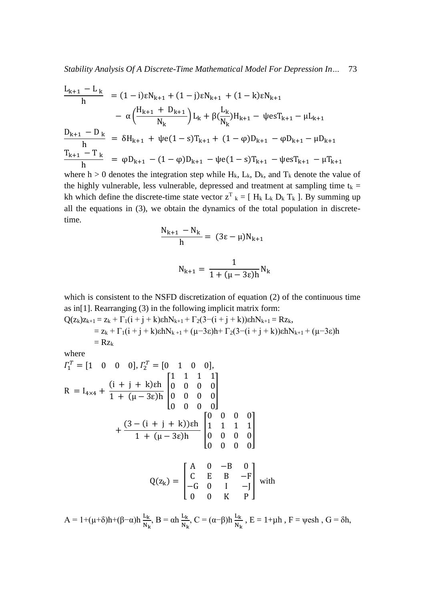$$
\frac{L_{k+1} - L_k}{h} = (1 - i)\epsilon N_{k+1} + (1 - j)\epsilon N_{k+1} + (1 - k)\epsilon N_{k+1}
$$
\n
$$
- \alpha \left(\frac{H_{k+1} + D_{k+1}}{N_k}\right) L_k + \beta \left(\frac{L_k}{N_k}\right) H_{k+1} - \psi e s T_{k+1} - \mu L_{k+1}
$$
\n
$$
\frac{D_{k+1} - D_k}{h} = \delta H_{k+1} + \psi e (1 - s) T_{k+1} + (1 - \phi) D_{k+1} - \phi D_{k+1} - \mu D_{k+1}
$$
\n
$$
\frac{T_{k+1} - T_k}{h} = \phi D_{k+1} - (1 - \phi) D_{k+1} - \psi e (1 - s) T_{k+1} - \psi e s T_{k+1} - \mu T_{k+1}
$$

where h > 0 denotes the integration step while  $H_k$ ,  $L_k$ ,  $D_k$ , and  $T_k$  denote the value of the highly vulnerable, less vulnerable, depressed and treatment at sampling time  $t_k =$ kh which define the discrete-time state vector  $z^T$ <sub>k</sub> = [ H<sub>k</sub> L<sub>k</sub> D<sub>k</sub> T<sub>k</sub> ]. By summing up all the equations in (3), we obtain the dynamics of the total population in discretetime.

$$
\frac{N_{k+1} - N_k}{h} = (3\epsilon - \mu)N_{k+1}
$$

$$
N_{k+1} = \frac{1}{1 + (\mu - 3\varepsilon)h} N_k
$$

which is consistent to the NSFD discretization of equation (2) of the continuous time as in[1]. Rearranging (3) in the following implicit matrix form:

$$
Q(z_k)z_{k+1} = z_k + \Gamma_1(i + j + k)\epsilon h N_{k+1} + \Gamma_2(3-(i + j + k))\epsilon h N_{k+1} = Rz_k,
$$
  
=  $z_k + \Gamma_1(i + j + k)\epsilon h N_{k+1} + (\mu - 3\epsilon)h + \Gamma_2(3-(i + j + k))\epsilon h N_{k+1} + (\mu - 3\epsilon)h$   
=  $Rz_k$ 

where

$$
I_1^T = [1 \quad 0 \quad 0 \quad 0], I_2^T = [0 \quad 1 \quad 0 \quad 0],
$$
  
\n
$$
R = I_{4\times4} + \frac{(i + j + k)\epsilon h}{1 + (\mu - 3\epsilon)h} \begin{bmatrix} 1 & 1 & 1 & 1 \\ 0 & 0 & 0 & 0 \\ 0 & 0 & 0 & 0 \\ 0 & 0 & 0 & 0 \end{bmatrix}
$$
  
\n
$$
+ \frac{(3 - (i + j + k))\epsilon h}{1 + (\mu - 3\epsilon)h} \begin{bmatrix} 0 & 0 & 0 & 0 \\ 1 & 1 & 1 & 1 \\ 0 & 0 & 0 & 0 \\ 0 & 0 & 0 & 0 \end{bmatrix}
$$
  
\n
$$
Q(z_k) = \begin{bmatrix} A & 0 & -B & 0 \\ C & E & B & -F \\ -G & 0 & I & -J \\ 0 & 0 & K & P \end{bmatrix}
$$
 with

 $A = 1 + (\mu + \delta)h + (\beta - \alpha)h \frac{L_k}{N_k}, B = \alpha h \frac{L_k}{N_k}, C = (\alpha - \beta)h \frac{L_k}{N_k}, E = 1 + \mu h, F = \psi \text{esh}, G = \delta h,$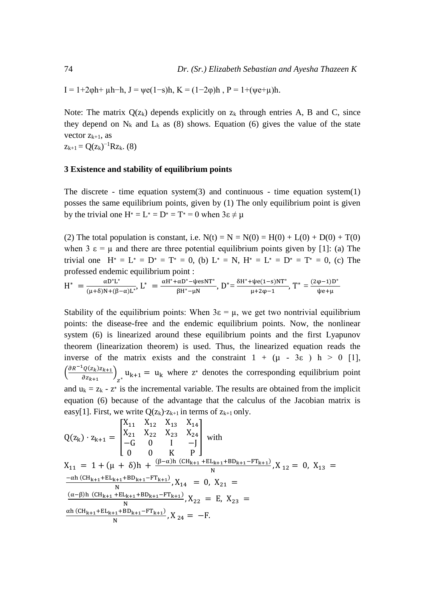I = 1+2φh+  $\mu$ h–h, J =  $\psi e(1-s)h$ , K =  $(1-2\varphi)h$ , P = 1+ $(\psi e+\mu)h$ .

Note: The matrix  $Q(z_k)$  depends explicitly on  $z_k$  through entries A, B and C, since they depend on  $N_k$  and  $L_k$  as (8) shows. Equation (6) gives the value of the state vector  $z_{k+1}$ , as

 $z_{k+1} = Q(z_k)^{-1} R z_k$ . (8)

#### **3 Existence and stability of equilibrium points**

The discrete - time equation system $(3)$  and continuous - time equation system $(1)$ posses the same equilibrium points, given by (1) The only equilibrium point is given by the trivial one  $H^* = L^* = D^* = T^* = 0$  when  $3\varepsilon \neq \mu$ 

(2) The total population is constant, i.e.  $N(t) = N = N(0) = H(0) + L(0) + D(0) + T(0)$ when 3  $\varepsilon = \mu$  and there are three potential equilibrium points given by [1]: (a) The trivial one  $H^* = L^* = D^* = T^* = 0$ , (b)  $L^* = N$ ,  $H^* = L^* = D^* = T^* = 0$ , (c) The professed endemic equilibrium point :

$$
H^* \ = \frac{\alpha D^* L^*}{(\mu + \delta) N + (\beta - \alpha) L^*}, \ L^* \ = \frac{\alpha H^* + \alpha D^* - \psi e s N T^*}{\beta H^* - \mu N}, \ D^* = \frac{\delta H^* + \psi e (1 - s) N T^*}{\mu + 2 \varphi - 1}, \ T^* = \frac{(2 \varphi - 1) D^*}{\psi e + \mu}
$$

Stability of the equilibrium points: When  $3\varepsilon = \mu$ , we get two nontrivial equilibrium points: the disease-free and the endemic equilibrium points. Now, the nonlinear system (6) is linearized around these equilibrium points and the first Lyapunov theorem (linearization theorem) is used. Thus, the linearized equation reads the inverse of the matrix exists and the constraint  $1 + (\mu - 3\varepsilon)$  h > 0 [1],  $\left(\frac{\partial R^{-1}Q(z_k)z_{k+1}}{\partial z}\right)$  $\frac{Q(z_k)z_{k+1}}{\partial z_{k+1}}$  $u_{k+1} = u_k$  where  $z^*$  denotes the corresponding equilibrium point and  $u_k = z_k - z^*$  is the incremental variable. The results are obtained from the implicit equation (6) because of the advantage that the calculus of the Jacobian matrix is easy[1]. First, we write  $Q(z_k)$  ·  $z_{k+1}$  in terms of  $z_{k+1}$  only.

$$
Q(z_{k}) \cdot z_{k+1} = \begin{bmatrix} X_{11} & X_{12} & X_{13} & X_{14} \\ X_{21} & X_{22} & X_{23} & X_{24} \\ -G & 0 & I & -J \\ 0 & 0 & K & P \end{bmatrix} \text{ with}
$$
  
\n
$$
X_{11} = 1 + (\mu + \delta)h + \frac{(\beta - \alpha)h (CH_{k+1} + EL_{k+1} + BD_{k+1} - FT_{k+1})}{N}, X_{12} = 0, X_{13} =
$$
  
\n
$$
\frac{-\alpha h (CH_{k+1} + EL_{k+1} + BD_{k+1} - FT_{k+1})}{N}, X_{14} = 0, X_{21} =
$$
  
\n
$$
\frac{(\alpha - \beta)h (CH_{k+1} + EL_{k+1} + BD_{k+1} - FT_{k+1})}{N}, X_{22} = E, X_{23} =
$$
  
\n
$$
\frac{\alpha h (CH_{k+1} + EL_{k+1} + BD_{k+1} - FT_{k+1})}{N}, X_{24} = -F.
$$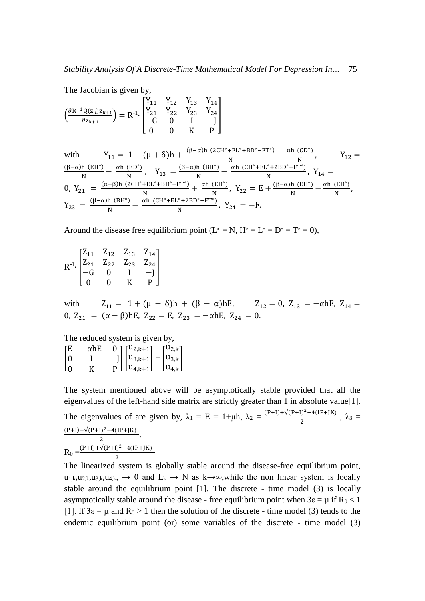The Jacobian is given by,

$$
\left(\frac{\partial R^{-1}Q(z_k)z_{k+1}}{\partial z_{k+1}}\right) = R^{-1} \cdot \begin{bmatrix} Y_{11} & Y_{12} & Y_{13} & Y_{14} \\ Y_{21} & Y_{22} & Y_{23} & Y_{24} \\ -G & 0 & I & -J \\ 0 & 0 & K & P \end{bmatrix}
$$

with 
$$
Y_{11} = 1 + (\mu + \delta)h + \frac{(\beta - \alpha)h (2CH^* + EL^* + BD^* - FT^*)}{N} - \frac{\alpha h (CD^*)}{N}, \qquad Y_{12} = \frac{(\beta - \alpha)h (BH^*)}{N} - \frac{\alpha h (ED^*)}{N}, \qquad Y_{13} = \frac{(\beta - \alpha)h (BH^*)}{N} - \frac{\alpha h (CH^* + EL^* + 2BD^* - FT^*)}{N}, \qquad Y_{14} = \frac{(\alpha - \beta)h (2CH^* + EL^* + BD^* - FT^*)}{N} + \frac{\alpha h (CD^*)}{N}, \qquad Y_{22} = E + \frac{(\beta - \alpha)h (EH^*)}{N} - \frac{\alpha h (ED^*)}{N}, \qquad Y_{23} = \frac{(\beta - \alpha)h (BH^*)}{N} - \frac{\alpha h (CH^* + EL^* + 2BD^* - FT^*)}{N}, \qquad Y_{24} = -F.
$$

Around the disease free equilibrium point ( $L^* = N$ ,  $H^* = L^* = D^* = T^* = 0$ ),

$$
R^{-1} \cdot \begin{bmatrix} Z_{11} & Z_{12} & Z_{13} & Z_{14} \\ Z_{21} & Z_{22} & Z_{23} & Z_{24} \\ -G & 0 & I & -J \\ 0 & 0 & K & P \end{bmatrix}
$$

with  $Z_{11} = 1 + (\mu + \delta)h + (\beta - \alpha)hE$ ,  $Z_{12} = 0$ ,  $Z_{13} = -\alpha hE$ ,  $Z_{14} =$ 0,  $Z_{21} = (\alpha - \beta)hE$ ,  $Z_{22} = E$ ,  $Z_{23} = -\alpha hE$ ,  $Z_{24} = 0$ .

The reduced system is given by,

|                                             | $-\alpha$ hE |                                                                                                                                                                                                                                    |  |  |
|---------------------------------------------|--------------|------------------------------------------------------------------------------------------------------------------------------------------------------------------------------------------------------------------------------------|--|--|
| $\begin{bmatrix} E \\ 0 \\ 0 \end{bmatrix}$ |              | $\begin{bmatrix} 0 \\ -J \\ P \end{bmatrix} \begin{bmatrix} \mathbf{u}_{2,k+1} \\ \mathbf{u}_{3,k+1} \\ \mathbf{u}_{4,k+1} \end{bmatrix} = \begin{bmatrix} \mathbf{u}_{2,k} \\ \mathbf{u}_{3,k} \\ \mathbf{u}_{4,k} \end{bmatrix}$ |  |  |
|                                             |              |                                                                                                                                                                                                                                    |  |  |

2

The system mentioned above will be asymptotically stable provided that all the eigenvalues of the left-hand side matrix are strictly greater than 1 in absolute value[1]. The eigenvalues of are given by,  $\lambda_1 = E = 1 + \mu h$ ,  $\lambda_2 = \frac{(P+I) + \sqrt{(P+I)^2 - 4(I_P+JK)}}{2}$  $\frac{1}{2}$   $\frac{2}{3}$   $\lambda_3$  =  $(P+I)-\sqrt{(P+I)^2-4(IP+JK)}$  $\frac{11 - 4(11 + 11)}{2}$ .  $R_0 = \frac{(P+I)+\sqrt{(P+I)^2-4(IP+JK)}}{2}$ 

The linearized system is globally stable around the disease-free equilibrium point,  $u_{1,k},u_{2,k},u_{3,k},u_{4,k},\rightarrow 0$  and  $L_k \rightarrow N$  as  $k\rightarrow\infty$ , while the non linear system is locally stable around the equilibrium point [1]. The discrete - time model (3) is locally asymptotically stable around the disease - free equilibrium point when  $3\varepsilon = \mu$  if R<sub>0</sub> < 1 [1]. If  $3\varepsilon = \mu$  and  $R_0 > 1$  then the solution of the discrete - time model (3) tends to the endemic equilibrium point (or) some variables of the discrete - time model (3)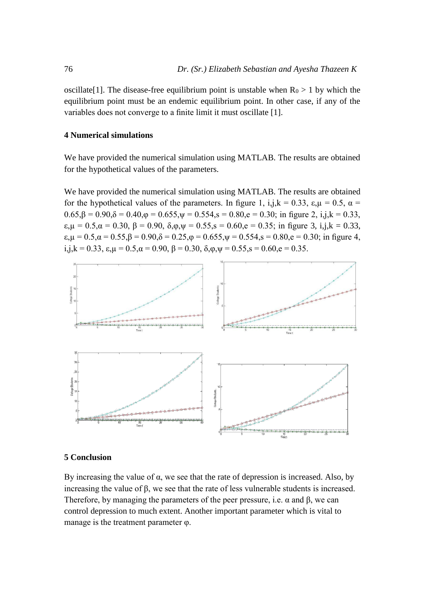oscillate<sup>[1]</sup>. The disease-free equilibrium point is unstable when  $R_0 > 1$  by which the equilibrium point must be an endemic equilibrium point. In other case, if any of the variables does not converge to a finite limit it must oscillate [1].

#### **4 Numerical simulations**

We have provided the numerical simulation using MATLAB. The results are obtained for the hypothetical values of the parameters.

We have provided the numerical simulation using MATLAB. The results are obtained for the hypothetical values of the parameters. In figure 1, i,j, $k = 0.33$ ,  $\varepsilon, \mu = 0.5$ ,  $\alpha =$  $0.65$ , $\beta = 0.90$ , $\delta = 0.40$ , $\varphi = 0.655$ , $\psi = 0.554$ , $s = 0.80$ , $e = 0.30$ ; in figure 2, i,j, $k = 0.33$ ,  $\varepsilon_{\mu} = 0.5, \alpha = 0.30, \beta = 0.90, \delta_{\mu} = 0.55, \delta = 0.60, \epsilon = 0.35$ ; in figure 3, i,j, $k = 0.33$ ,  $\varepsilon, \mu = 0.5, \alpha = 0.55, \beta = 0.90, \delta = 0.25, \phi = 0.655, \psi = 0.554, s = 0.80, e = 0.30$ ; in figure 4, i,j,k = 0.33,  $\varepsilon, \mu = 0.5, \alpha = 0.90, \beta = 0.30, \delta, \phi, \psi = 0.55, s = 0.60, e = 0.35$ .



#### **5 Conclusion**

By increasing the value of α, we see that the rate of depression is increased. Also, by increasing the value of β, we see that the rate of less vulnerable students is increased. Therefore, by managing the parameters of the peer pressure, i.e.  $\alpha$  and  $\beta$ , we can control depression to much extent. Another important parameter which is vital to manage is the treatment parameter φ.